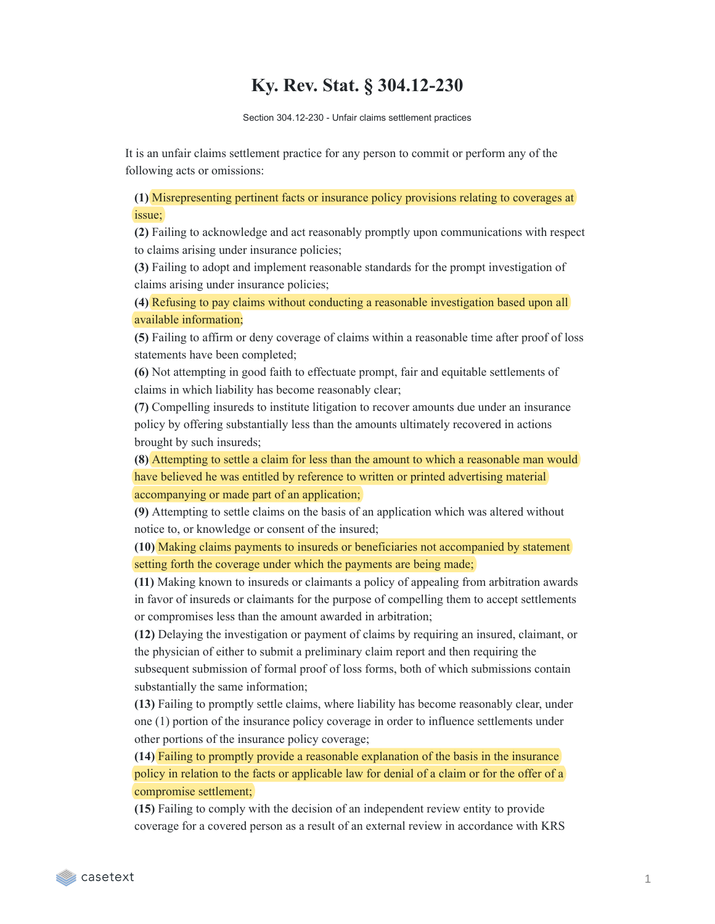## **Ky. Rev. Stat. § 304.12-230**

Section 304.12-230 - Unfair claims settlement practices

It is an unfair claims settlement practice for any person to commit or perform any of the following acts or omissions:

**(1)** Misrepresenting pertinent facts or insurance policy provisions relating to coverages at issue;

**(2)** Failing to acknowledge and act reasonably promptly upon communications with respect to claims arising under insurance policies;

**(3)** Failing to adopt and implement reasonable standards for the prompt investigation of claims arising under insurance policies;

**(4)** Refusing to pay claims without conducting a reasonable investigation based upon all available information;

**(5)** Failing to affirm or deny coverage of claims within a reasonable time after proof of loss statements have been completed;

**(6)** Not attempting in good faith to effectuate prompt, fair and equitable settlements of claims in which liability has become reasonably clear;

**(7)** Compelling insureds to institute litigation to recover amounts due under an insurance policy by offering substantially less than the amounts ultimately recovered in actions brought by such insureds;

**(8)** Attempting to settle a claim for less than the amount to which a reasonable man would have believed he was entitled by reference to written or printed advertising material accompanying or made part of an application;

**(9)** Attempting to settle claims on the basis of an application which was altered without notice to, or knowledge or consent of the insured;

**(10)** Making claims payments to insureds or beneficiaries not accompanied by statement setting forth the coverage under which the payments are being made;

**(11)** Making known to insureds or claimants a policy of appealing from arbitration awards in favor of insureds or claimants for the purpose of compelling them to accept settlements or compromises less than the amount awarded in arbitration;

**(12)** Delaying the investigation or payment of claims by requiring an insured, claimant, or the physician of either to submit a preliminary claim report and then requiring the subsequent submission of formal proof of loss forms, both of which submissions contain substantially the same information;

**(13)** Failing to promptly settle claims, where liability has become reasonably clear, under one (1) portion of the insurance policy coverage in order to influence settlements under other portions of the insurance policy coverage;

**(14)** Failing to promptly provide a reasonable explanation of the basis in the insurance policy in relation to the facts or applicable law for denial of a claim or for the offer of a compromise settlement;

**(15)** Failing to comply with the decision of an independent review entity to provide coverage for a covered person as a result of an external review in accordance with KRS